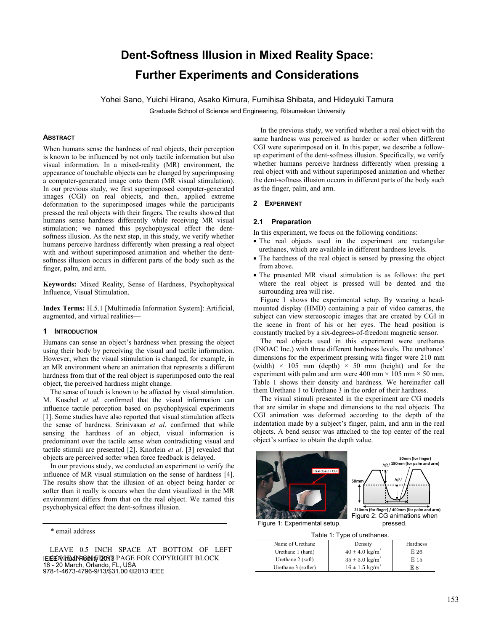# **Dent-Softness Illusion in Mixed Reality Space: Further Experiments and Considerations**

Yohei Sano, Yuichi Hirano, Asako Kimura, Fumihisa Shibata, and Hideyuki Tamura

Graduate School of Science and Engineering, Ritsumeikan University

## **ABSTRACT**

When humans sense the hardness of real objects, their perception is known to be influenced by not only tactile information but also visual information. In a mixed-reality (MR) environment, the appearance of touchable objects can be changed by superimposing a computer-generated image onto them (MR visual stimulation). In our previous study, we first superimposed computer-generated images (CGI) on real objects, and then, applied extreme deformation to the superimposed images while the participants pressed the real objects with their fingers. The results showed that humans sense hardness differently while receiving MR visual stimulation; we named this psychophysical effect the dentsoftness illusion. As the next step, in this study, we verify whether humans perceive hardness differently when pressing a real object with and without superimposed animation and whether the dentsoftness illusion occurs in different parts of the body such as the finger, palm, and arm.

**Keywords:** Mixed Reality, Sense of Hardness, Psychophysical Influence, Visual Stimulation.

**Index Terms:** H.5.1 [Multimedia Information System]: Artificial, augmented, and virtual realities—

# **1 INTRODUCTION**

Humans can sense an object's hardness when pressing the object using their body by perceiving the visual and tactile information. However, when the visual stimulation is changed, for example, in an MR environment where an animation that represents a different hardness from that of the real object is superimposed onto the real object, the perceived hardness might change.

The sense of touch is known to be affected by visual stimulation. M. Kuschel *et al.* confirmed that the visual information can influence tactile perception based on psychophysical experiments [1]. Some studies have also reported that visual stimulation affects the sense of hardness. Srinivasan *et al*. confirmed that while sensing the hardness of an object, visual information is predominant over the tactile sense when contradicting visual and tactile stimuli are presented [2]. Knorlein *et al*. [3] revealed that objects are perceived softer when force feedback is delayed.

In our previous study, we conducted an experiment to verify the influence of MR visual stimulation on the sense of hardness [4]. The results show that the illusion of an object being harder or softer than it really is occurs when the dent visualized in the MR environment differs from that on the real object. We named this psychophysical effect the dent-softness illusion.

\* email address

LEAVE 0.5 INCH SPACE AT BOTTOM OF LEFT IEEE VIH MARE PAGE FOR COPYRIGHT BLOCK 16 - 20 March, Orlando, FL, USA 978-1-4673-4796-9/13/\$31.00 ©2013 IEEE

In the previous study, we verified whether a real object with the same hardness was perceived as harder or softer when different CGI were superimposed on it. In this paper, we describe a followup experiment of the dent-softness illusion. Specifically, we verify whether humans perceive hardness differently when pressing a real object with and without superimposed animation and whether the dent-softness illusion occurs in different parts of the body such as the finger, palm, and arm.

#### **2 EXPERIMENT**

## **2.1 Preparation**

In this experiment, we focus on the following conditions:

- The real objects used in the experiment are rectangular urethanes, which are available in different hardness levels.
- The hardness of the real object is sensed by pressing the object from above.
- The presented MR visual stimulation is as follows: the part where the real object is pressed will be dented and the surrounding area will rise.

Figure 1 shows the experimental setup. By wearing a headmounted display (HMD) containing a pair of video cameras, the subject can view stereoscopic images that are created by CGI in the scene in front of his or her eyes. The head position is constantly tracked by a six-degrees-of-freedom magnetic sensor.

The real objects used in this experiment were urethanes (INOAC Inc.) with three different hardness levels. The urethanes' dimensions for the experiment pressing with finger were 210 mm (width)  $\times$  105 mm (depth)  $\times$  50 mm (height) and for the experiment with palm and arm were 400 mm  $\times$  105 mm  $\times$  50 mm. Table 1 shows their density and hardness. We hereinafter call them Urethane 1 to Urethane 3 in the order of their hardness.

The visual stimuli presented in the experiment are CG models that are similar in shape and dimensions to the real objects. The CGI animation was deformed according to the depth of the indentation made by a subject's finger, palm, and arm in the real objects. A bend sensor was attached to the top center of the real object's surface to obtain the depth value.





210mm Figure 2: CG animations when

pressed.

Figure 1: Experimental setup.

Table 1: Type of urethanes.

| Name of Urethane    | Density                        | Hardness |
|---------------------|--------------------------------|----------|
| Urethane 1 (hard)   | $40 \pm 4.0$ kg/m <sup>3</sup> | E 26     |
| Urethane $2$ (soft) | $35 \pm 3.0 \text{ kg/m}^3$    | E 15     |
| Urethane 3 (softer) | $16 \pm 1.5$ kg/m <sup>3</sup> | E 8      |